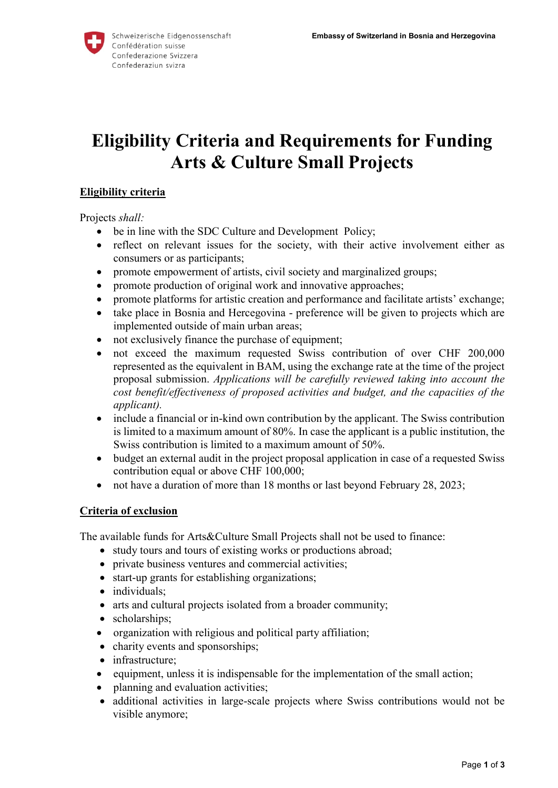

# **Eligibility Criteria and Requirements for Funding Arts & Culture Small Projects**

# **Eligibility criteria**

Projects *shall:* 

- be in line with the SDC Culture and Development Policy;
- reflect on relevant issues for the society, with their active involvement either as consumers or as participants;
- promote empowerment of artists, civil society and marginalized groups;
- promote production of original work and innovative approaches;
- promote platforms for artistic creation and performance and facilitate artists' exchange;
- take place in Bosnia and Hercegovina preference will be given to projects which are implemented outside of main urban areas;
- not exclusively finance the purchase of equipment;
- not exceed the maximum requested Swiss contribution of over CHF 200,000 represented as the equivalent in BAM, using the exchange rate at the time of the project proposal submission. *Applications will be carefully reviewed taking into account the cost benefit/effectiveness of proposed activities and budget, and the capacities of the applicant).*
- include a financial or in-kind own contribution by the applicant. The Swiss contribution is limited to a maximum amount of 80%. In case the applicant is a public institution, the Swiss contribution is limited to a maximum amount of 50%.
- budget an external audit in the project proposal application in case of a requested Swiss contribution equal or above CHF 100,000;
- not have a duration of more than 18 months or last beyond February 28, 2023;

#### **Criteria of exclusion**

The available funds for Arts&Culture Small Projects shall not be used to finance:

- study tours and tours of existing works or productions abroad;
- private business ventures and commercial activities;
- start-up grants for establishing organizations;
- individuals:
- arts and cultural projects isolated from a broader community;
- scholarships;
- organization with religious and political party affiliation;
- charity events and sponsorships;
- infrastructure;
- equipment, unless it is indispensable for the implementation of the small action;
- planning and evaluation activities;
- additional activities in large-scale projects where Swiss contributions would not be visible anymore;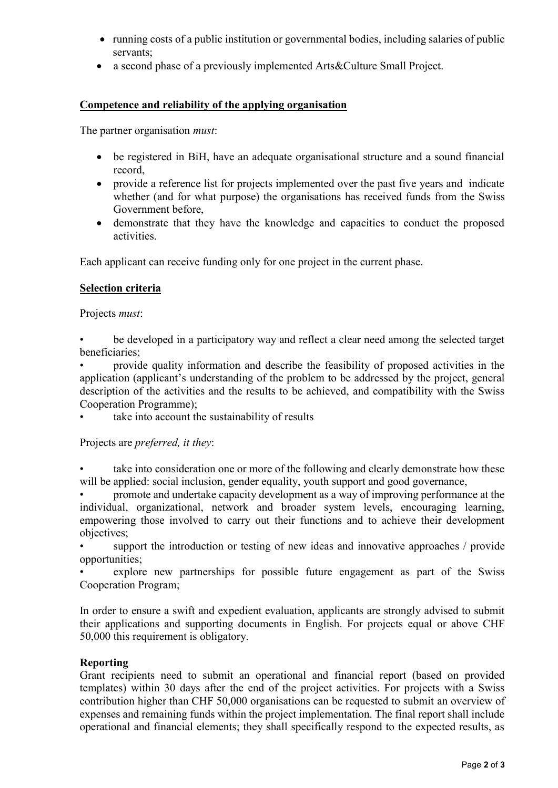- running costs of a public institution or governmental bodies, including salaries of public servants;
- a second phase of a previously implemented Arts&Culture Small Project.

# **Competence and reliability of the applying organisation**

The partner organisation *must*:

- be registered in BiH, have an adequate organisational structure and a sound financial record,
- provide a reference list for projects implemented over the past five years and indicate whether (and for what purpose) the organisations has received funds from the Swiss Government before,
- demonstrate that they have the knowledge and capacities to conduct the proposed activities.

Each applicant can receive funding only for one project in the current phase.

### **Selection criteria**

Projects *must*:

be developed in a participatory way and reflect a clear need among the selected target beneficiaries;

• provide quality information and describe the feasibility of proposed activities in the application (applicant's understanding of the problem to be addressed by the project, general description of the activities and the results to be achieved, and compatibility with the Swiss Cooperation Programme);

take into account the sustainability of results

Projects are *preferred, it they*:

take into consideration one or more of the following and clearly demonstrate how these will be applied: social inclusion, gender equality, youth support and good governance,

• promote and undertake capacity development as a way of improving performance at the individual, organizational, network and broader system levels, encouraging learning, empowering those involved to carry out their functions and to achieve their development objectives;

support the introduction or testing of new ideas and innovative approaches / provide opportunities;

explore new partnerships for possible future engagement as part of the Swiss Cooperation Program;

In order to ensure a swift and expedient evaluation, applicants are strongly advised to submit their applications and supporting documents in English. For projects equal or above CHF 50,000 this requirement is obligatory.

#### **Reporting**

Grant recipients need to submit an operational and financial report (based on provided templates) within 30 days after the end of the project activities. For projects with a Swiss contribution higher than CHF 50,000 organisations can be requested to submit an overview of expenses and remaining funds within the project implementation. The final report shall include operational and financial elements; they shall specifically respond to the expected results, as